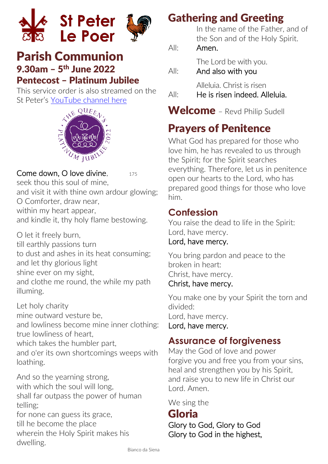



## Parish Communion 9.30am – 5 th June 2022 Pentecost – Platinum Jubilee

This service order is also streamed on the St Peter's [YouTube channel here](https://www.youtube.com/channel/UC6UIg8_l7nZgnqxFmrjSWYA)



#### Come down, O love divine,  $175$

seek thou this soul of mine and visit it with thine own ardour glowing; O Comforter, draw near, within my heart appear, and kindle it, thy holy flame bestowing.

O let it freely burn, till earthly passions turn to dust and ashes in its heat consuming; and let thy glorious light shine ever on my sight, and clothe me round, the while my path illuming.

Let holy charity mine outward vesture be, and lowliness become mine inner clothing: true lowliness of heart which takes the humbler part, and o'er its own shortcomings weeps with loathing.

And so the yearning strong, with which the soul will long, shall far outpass the power of human telling;

for none can guess its grace, till he become the place wherein the Holy Spirit makes his dwelling.

## Gathering and Greeting

In the name of the Father, and of the Son and of the Holy Spirit.

### All: Amen.

The Lord be with you.

All: And also with you

Alleluia. Christ is risen

All: He is risen indeed. Alleluia.

Welcome - Revd Philip Sudell

# Prayers of Penitence

What God has prepared for those who love him, he has revealed to us through the Spirit; for the Spirit searches everything. Therefore, let us in penitence open our hearts to the Lord, who has prepared good things for those who love him.

## **Confession**

You raise the dead to life in the Spirit: Lord, have mercy.

### Lord, have mercy.

You bring pardon and peace to the broken in heart: Christ, have mercy.

#### Christ, have mercy.

You make one by your Spirit the torn and divided:

Lord, have mercy.

Lord, have mercy.

## **Assurance of forgiveness**

May the God of love and power forgive you and free you from your sins, heal and strengthen you by his Spirit, and raise you to new life in Christ our Lord. Amen.

We sing the

## Gloria

Glory to God, Glory to God Glory to God in the highest,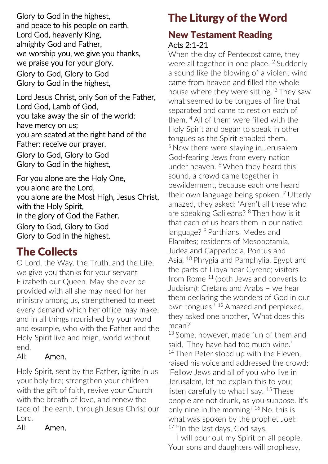Glory to God in the highest, and peace to his people on earth. Lord God, heavenly King, almighty God and Father, we worship you, we give you thanks, we praise you for your glory. Glory to God, Glory to God Glory to God in the highest,

Lord Jesus Christ, only Son of the Father, Lord God, Lamb of God, you take away the sin of the world: have mercy on us; you are seated at the right hand of the Father: receive our prayer. Glory to God, Glory to God

Glory to God in the highest,

For you alone are the Holy One, you alone are the Lord, you alone are the Most High, Jesus Christ, with the Holy Spirit, in the glory of God the Father. Glory to God, Glory to God Glory to God in the highest.

## The Collects

O Lord, the Way, the Truth, and the Life, we give you thanks for your servant Elizabeth our Queen. May she ever be provided with all she may need for her ministry among us, strengthened to meet every demand which her office may make, and in all things nourished by your word and example, who with the Father and the Holy Spirit live and reign, world without end.

#### All: Amen.

Holy Spirit, sent by the Father, ignite in us your holy fire; strengthen your children with the gift of faith, revive your Church with the breath of love, and renew the face of the earth, through Jesus Christ our Lord.

All: Amen.

# The Liturgy of the Word

### New Testament Reading Acts 2:1-21

When the day of Pentecost came, they were all together in one place. <sup>2</sup> Suddenly a sound like the blowing of a violent wind came from heaven and filled the whole house where they were sitting. <sup>3</sup> They saw what seemed to be tongues of fire that separated and came to rest on each of them. <sup>4</sup> All of them were filled with the Holy Spirit and began to speak in other tongues as the Spirit enabled them. <sup>5</sup> Now there were staying in Jerusalem God-fearing Jews from every nation under heaven. <sup>6</sup> When they heard this sound, a crowd came together in bewilderment, because each one heard their own language being spoken.  $7$  Utterly amazed, they asked: 'Aren't all these who are speaking Galileans? <sup>8</sup> Then how is it that each of us hears them in our native language? <sup>9</sup> Parthians, Medes and Elamites; residents of Mesopotamia, Judea and Cappadocia, Pontus and Asia, <sup>10</sup> Phrygia and Pamphylia, Egypt and the parts of Libya near Cyrene; visitors from Rome <sup>11</sup> (both Jews and converts to Judaism); Cretans and Arabs – we hear them declaring the wonders of God in our own tongues!' <sup>12</sup> Amazed and perplexed, they asked one another, 'What does this mean?'

<sup>13</sup> Some, however, made fun of them and said, 'They have had too much wine.' <sup>14</sup> Then Peter stood up with the Eleven. raised his voice and addressed the crowd: 'Fellow Jews and all of you who live in Jerusalem, let me explain this to you; listen carefully to what I say. <sup>15</sup> These people are not drunk, as you suppose. It's only nine in the morning! <sup>16</sup> No, this is what was spoken by the prophet Joel: 17 "In the last days, God says,

 I will pour out my Spirit on all people. Your sons and daughters will prophesy,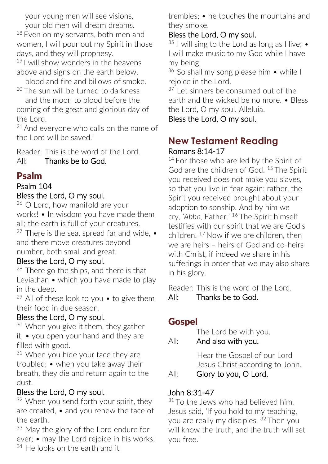your young men will see visions,

 your old men will dream dreams. <sup>18</sup> Even on my servants, both men and women, I will pour out my Spirit in those days, and they will prophesy.

 $19$  I will show wonders in the heavens above and signs on the earth below,

 blood and fire and billows of smoke. <sup>20</sup> The sun will be turned to darkness

 and the moon to blood before the coming of the great and glorious day of the Lord.

 $21$  And everyone who calls on the name of the Lord will be saved."

Reader: This is the word of the Lord. All: Thanks be to God.

### Psalm

#### Psalm 104 Bless the Lord, O my soul.

 $26$  O Lord, how manifold are your works! • In wisdom you have made them all; the earth is full of your creatures. <sup>27</sup> There is the sea, spread far and wide,  $\bullet$ and there move creatures beyond number, both small and great.

#### Bless the Lord, O my soul.

 $28$  There go the ships, and there is that Leviathan • which you have made to play in the deep.

 $29$  All of these look to you  $\bullet$  to give them their food in due season.

#### Bless the Lord, O my soul.

<sup>30</sup> When you give it them, they gather it; • you open your hand and they are filled with good.

<sup>31</sup> When you hide your face they are troubled; • when you take away their breath, they die and return again to the dust.

### Bless the Lord, O my soul.

<sup>32</sup> When you send forth your spirit, they are created, • and you renew the face of the earth.

33 May the glory of the Lord endure for ever; • may the Lord rejoice in his works; <sup>34</sup> He looks on the earth and it

trembles; • he touches the mountains and they smoke.

### Bless the Lord, O my soul.

 $35$  I will sing to the Lord as long as I live;  $\bullet$ I will make music to my God while I have my being.

 $36$  So shall my song please him • while I rejoice in the Lord.

<sup>37</sup> Let sinners be consumed out of the earth and the wicked be no more. • Bless the Lord, O my soul. Alleluia.

Bless the Lord, O my soul.

### **New Testament Reading** Romans 8:14-17

<sup>14</sup> For those who are led by the Spirit of God are the children of God. <sup>15</sup> The Spirit you received does not make you slaves, so that you live in fear again; rather, the Spirit you received brought about your adoption to sonship. And by him we cry, *'Abba,* Father.' <sup>16</sup> The Spirit himself testifies with our spirit that we are God's children. <sup>17</sup> Now if we are children, then we are heirs – heirs of God and co-heirs with Christ, if indeed we share in his sufferings in order that we may also share in his glory.

Reader: This is the word of the Lord.

All: Thanks be to God.

## **Gospel**

The Lord be with you.

All: And also with you.

Hear the Gospel of our Lord Jesus Christ according to John.

### All: Glory to you, O Lord.

### John 8:31-47

<sup>31</sup> To the Jews who had believed him. Jesus said, 'If you hold to my teaching, you are really my disciples. <sup>32</sup> Then you will know the truth, and the truth will set you free.'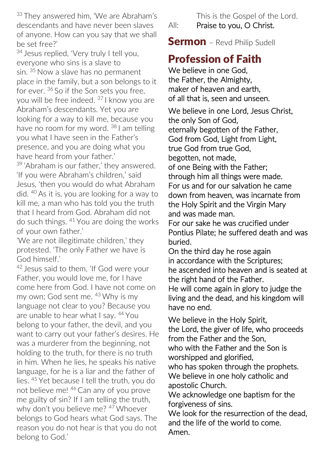<sup>33</sup> They answered him, 'We are Abraham's descendants and have never been slaves of anyone. How can you say that we shall be set free?'

<sup>34</sup> Jesus replied, 'Very truly I tell you, everyone who sins is a slave to sin. <sup>35</sup> Now a slave has no permanent place in the family, but a son belongs to it for ever. <sup>36</sup> So if the Son sets you free. you will be free indeed. <sup>37</sup> I know you are Abraham's descendants. Yet you are looking for a way to kill me, because you have no room for my word. <sup>38</sup> I am telling you what I have seen in the Father's presence, and you are doing what you have heard from your father.'

<sup>39</sup> 'Abraham is our father,' they answered. 'If you were Abraham's children,' said Jesus, 'then you would do what Abraham did. <sup>40</sup> As it is, you are looking for a way to kill me, a man who has told you the truth that I heard from God. Abraham did not do such things. <sup>41</sup> You are doing the works of your own father.'

'We are not illegitimate children,' they protested. 'The only Father we have is God himself.'

42 Jesus said to them, 'If God were your Father, you would love me, for I have come here from God. I have not come on my own; God sent me. <sup>43</sup> Why is my language not clear to you? Because you are unable to hear what I say. <sup>44</sup> You belong to your father, the devil, and you want to carry out your father's desires. He was a murderer from the beginning, not holding to the truth, for there is no truth in him. When he lies, he speaks his native language, for he is a liar and the father of lies. <sup>45</sup> Yet because I tell the truth, you do not believe me! <sup>46</sup> Can any of you prove me guilty of sin? If I am telling the truth, why don't you believe me? <sup>47</sup> Whoever belongs to God hears what God says. The reason you do not hear is that you do not belong to God.'

This is the Gospel of the Lord.

All: Praise to you, O Christ.

**Sermon** - Revd Philip Sudell

## Profession of Faith

We believe in one God, the Father, the Almighty, maker of heaven and earth, of all that is, seen and unseen.

We believe in one Lord, Jesus Christ, the only Son of God, eternally begotten of the Father, God from God, Light from Light, true God from true God, begotten, not made, of one Being with the Father; through him all things were made. For us and for our salvation he came down from heaven, was incarnate from the Holy Spirit and the Virgin Mary and was made man.

For our sake he was crucified under Pontius Pilate; he suffered death and was buried.

On the third day he rose again in accordance with the Scriptures; he ascended into heaven and is seated at the right hand of the Father.

He will come again in glory to judge the living and the dead, and his kingdom will have no end.

We believe in the Holy Spirit, the Lord, the giver of life, who proceeds from the Father and the Son, who with the Father and the Son is worshipped and glorified, who has spoken through the prophets. We believe in one holy catholic and

apostolic Church.

We acknowledge one baptism for the forgiveness of sins.

We look for the resurrection of the dead. and the life of the world to come. Amen.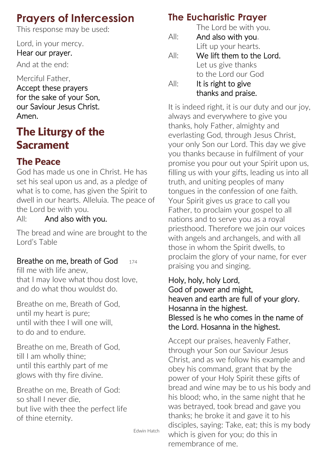## **Prayers of Intercession**

This response may be used:

Lord, in your mercy.

Hear our prayer.

And at the end:

Merciful Father,

Accept these prayers for the sake of your Son, our Saviour Jesus Christ. Amen.

# The Liturgy of the **Sacrament**

## The Peace

God has made us one in Christ. He has set his seal upon us and, as a pledge of what is to come, has given the Spirit to dwell in our hearts. Alleluia. The peace of the Lord be with you.

All: And also with you.

The bread and wine are brought to the Lord's Table

## Breathe on me, breath of God  $_{174}$

fill me with life anew, that I may love what thou dost love, and do what thou wouldst do.

Breathe on me, Breath of God, until my heart is pure; until with thee I will one will, to do and to endure.

Breathe on me, Breath of God, till I am wholly thine; until this earthly part of me glows with thy fire divine.

Breathe on me, Breath of God: so shall I never die, but live with thee the perfect life of thine eternity.

Edwin Hatch

## **The Eucharistic Prayer**

The Lord be with you. All: And also with you. Lift up your hearts. All: We lift them to the Lord. Let us give thanks to the Lord our God All: It is right to give

thanks and praise.

It is indeed right, it is our duty and our joy, always and everywhere to give you thanks, holy Father, almighty and everlasting God, through Jesus Christ, your only Son our Lord. This day we give you thanks because in fulfilment of your promise you pour out your Spirit upon us, filling us with your gifts, leading us into all truth, and uniting peoples of many tongues in the confession of one faith. Your Spirit gives us grace to call you Father, to proclaim your gospel to all nations and to serve you as a royal priesthood. Therefore we join our voices with angels and archangels, and with all those in whom the Spirit dwells, to proclaim the glory of your name, for ever praising you and singing.

#### Holy, holy, holy Lord, God of power and might, heaven and earth are full of your glory. Hosanna in the highest. Blessed is he who comes in the name of the Lord. Hosanna in the highest.

Accept our praises, heavenly Father, through your Son our Saviour Jesus Christ, and as we follow his example and obey his command, grant that by the power of your Holy Spirit these gifts of bread and wine may be to us his body and his blood; who, in the same night that he was betrayed, took bread and gave you thanks; he broke it and gave it to his disciples, saying: Take, eat; this is my body which is given for you; do this in remembrance of me.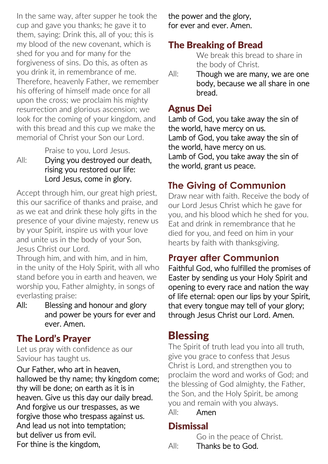In the same way, after supper he took the cup and gave you thanks; he gave it to them, saying: Drink this, all of you; this is my blood of the new covenant, which is shed for you and for many for the forgiveness of sins. Do this, as often as you drink it, in remembrance of me. Therefore, heavenly Father, we remember his offering of himself made once for all upon the cross; we proclaim his mighty resurrection and glorious ascension; we look for the coming of your kingdom, and with this bread and this cup we make the memorial of Christ your Son our Lord.

Praise to you, Lord Jesus.

#### All: Dving you destroved our death. rising you restored our life: Lord Jesus, come in glory.

Accept through him, our great high priest, this our sacrifice of thanks and praise, and as we eat and drink these holy gifts in the presence of your divine majesty, renew us by your Spirit, inspire us with your love and unite us in the body of your Son, Jesus Christ our Lord.

Through him, and with him, and in him, in the unity of the Holy Spirit, with all who stand before you in earth and heaven, we worship you, Father almighty, in songs of everlasting praise:

All: Blessing and honour and glory and power be yours for ever and ever. Amen.

### The Lord's Prayer

Let us pray with confidence as our Saviour has taught us.

Our Father, who art in heaven, hallowed be thy name; thy kingdom come; thy will be done; on earth as it is in heaven. Give us this day our daily bread. And forgive us our trespasses, as we forgive those who trespass against us. And lead us not into temptation; but deliver us from evil. For thine is the kingdom,

the power and the glory, for ever and ever. Amen.

## The Breaking of Bread

We break this bread to share in the body of Christ.

All: Though we are many, we are one body, because we all share in one bread.

### Agnus Dei

Lamb of God, you take away the sin of the world, have mercy on us. Lamb of God, you take away the sin of the world, have mercy on us. Lamb of God, you take away the sin of the world, grant us peace.

### **The Giving of Communion**

Draw near with faith. Receive the body of our Lord Jesus Christ which he gave for you, and his blood which he shed for you. Eat and drink in remembrance that he died for you, and feed on him in your hearts by faith with thanksgiving.

## **Prayer after Communion**

Faithful God, who fulfilled the promises of Easter by sending us your Holy Spirit and opening to every race and nation the way of life eternal: open our lips by your Spirit, that every tongue may tell of your glory; through Jesus Christ our Lord. Amen.

## **Blessing**

The Spirit of truth lead you into all truth, give you grace to confess that Jesus Christ is Lord, and strengthen you to proclaim the word and works of God; and the blessing of God almighty, the Father, the Son, and the Holy Spirit, be among you and remain with you always.

All: Amen

### **Dismissal**

Go in the peace of Christ.

All: Thanks be to God.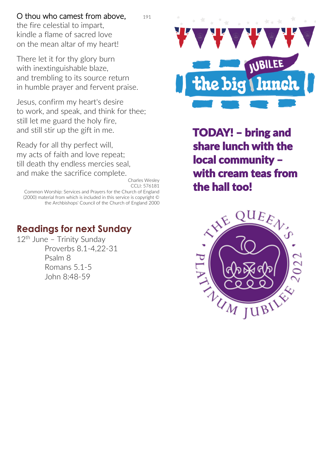#### O thou who camest from above,  $191$

the fire celestial to impart, kindle a flame of sacred love on the mean altar of my heart!

There let it for thy glory burn with inextinguishable blaze, and trembling to its source return in humble prayer and fervent praise.

Jesus, confirm my heart's desire to work, and speak, and think for thee; still let me guard the holy fire, and still stir up the gift in me.

Ready for all thy perfect will, my acts of faith and love repeat; till death thy endless mercies seal, and make the sacrifice complete.

Charles Wesley CCLI: 576181 Common Worship: Services and Prayers for the Church of England (2000) material from which is included in this service is copyright © the Archbishops' Council of the Church of England 2000

### **Readings for next Sunday**

12th June – Trinity Sunday Proverbs 8.1-4,22-31 Psalm 8 Romans 5.1-5 John 8:48-59



TODAY! – bring and share lunch with the local community – with cream teas from the hall too!